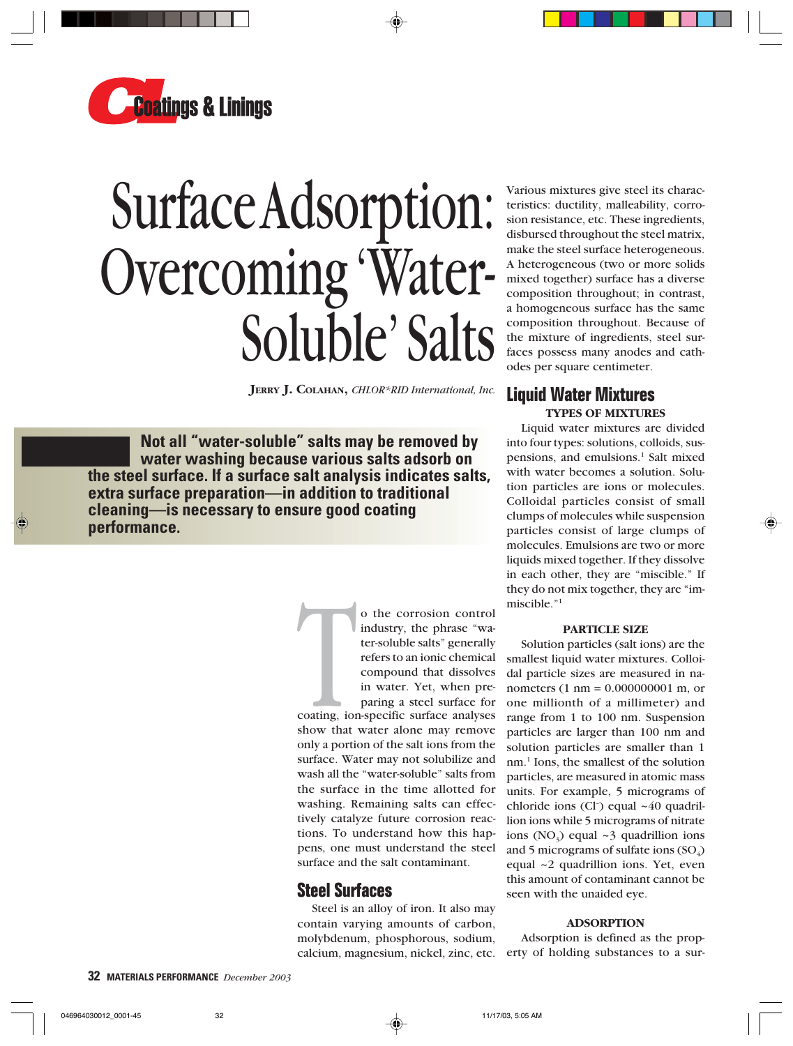

# Surface Adsorption: Overcoming 'Water-Soluble' Salts

**JERRY J. COLAHAN,** *CHLOR\*RID International, Inc.*

**Not all "water-soluble" salts may be removed by water washing because various salts adsorb on the steel surface. If a surface salt analysis indicates salts, extra surface preparation—in addition to traditional cleaning—is necessary to ensure good coating performance.**

> o the corrosion control<br>industry, the phrase "wa-<br>ter-soluble salts" generally<br>refers to an ionic chemical<br>compound that dissolves<br>in water. Yet, when pre-<br>paring a steel surface for<br>coating, ion-specific surface analyses<br> industry, the phrase "water-soluble salts" generally refers to an ionic chemical compound that dissolves in water. Yet, when preparing a steel surface for

coating, ion-specific surface analyses show that water alone may remove only a portion of the salt ions from the surface. Water may not solubilize and wash all the "water-soluble" salts from the surface in the time allotted for washing. Remaining salts can effectively catalyze future corrosion reactions. To understand how this happens, one must understand the steel surface and the salt contaminant.

# **Steel Surfaces**

Steel is an alloy of iron. It also may contain varying amounts of carbon, molybdenum, phosphorous, sodium, calcium, magnesium, nickel, zinc, etc.

Various mixtures give steel its characteristics: ductility, malleability, corrosion resistance, etc. These ingredients, disbursed throughout the steel matrix, make the steel surface heterogeneous. A heterogeneous (two or more solids mixed together) surface has a diverse composition throughout; in contrast, a homogeneous surface has the same composition throughout. Because of the mixture of ingredients, steel surfaces possess many anodes and cathodes per square centimeter.

# **Liquid Water Mixtures TYPES OF MIXTURES**

Liquid water mixtures are divided into four types: solutions, colloids, suspensions, and emulsions.<sup>1</sup> Salt mixed with water becomes a solution. Solution particles are ions or molecules. Colloidal particles consist of small clumps of molecules while suspension particles consist of large clumps of molecules. Emulsions are two or more liquids mixed together. If they dissolve in each other, they are "miscible." If they do not mix together, they are "immiscible."1

## **PARTICLE SIZE**

Solution particles (salt ions) are the smallest liquid water mixtures. Colloidal particle sizes are measured in nanometers (1 nm = 0.000000001 m, or one millionth of a millimeter) and range from 1 to 100 nm. Suspension particles are larger than 100 nm and solution particles are smaller than 1 nm.<sup>1</sup> Ions, the smallest of the solution particles, are measured in atomic mass units. For example, 5 micrograms of chloride ions (Cl<sup>-</sup>) equal ~40 quadrillion ions while 5 micrograms of nitrate ions  $(NO_3)$  equal ~3 quadrillion ions and 5 micrograms of sulfate ions  $(SO_4)$ equal ~2 quadrillion ions. Yet, even this amount of contaminant cannot be seen with the unaided eye.

## **ADSORPTION**

Adsorption is defined as the property of holding substances to a sur